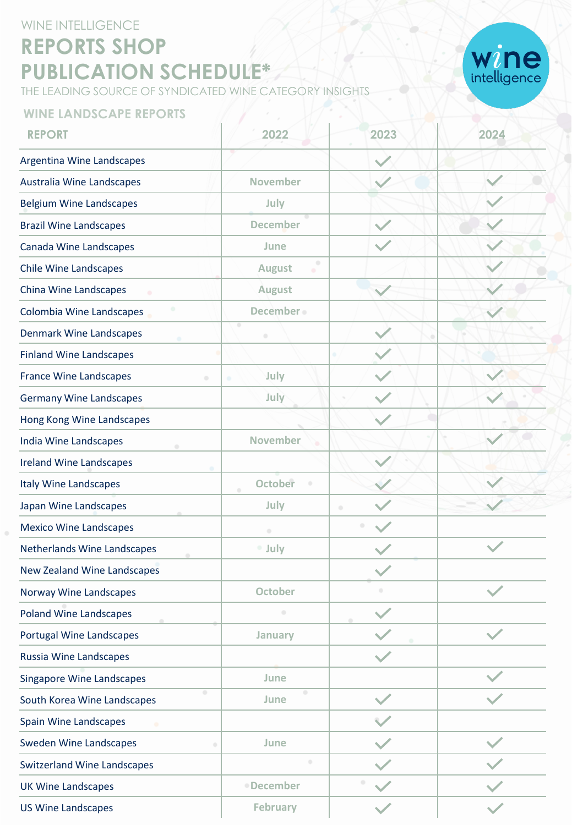# WINE INTELLIGENCE **REPORTS SHOP PUBLICATION SCHEDULE\***

THE LEADING SOURCE OF SYNDICATED WINE CATEGORY INSIGHTS

# wine

### **WINE LANDSCAPE REPORTS**

| <b>REPORT</b>                      | 2022               | 2023 | 2024 |
|------------------------------------|--------------------|------|------|
| Argentina Wine Landscapes          |                    |      |      |
| Australia Wine Landscapes          | <b>November</b>    |      |      |
| <b>Belgium Wine Landscapes</b>     | July               |      |      |
| <b>Brazil Wine Landscapes</b>      | <b>December</b>    |      |      |
| Canada Wine Landscapes             | June               |      |      |
| <b>Chile Wine Landscapes</b>       | ۰<br><b>August</b> |      |      |
| China Wine Landscapes              | <b>August</b>      |      |      |
| Colombia Wine Landscapes           | <b>December</b>    |      |      |
| <b>Denmark Wine Landscapes</b>     | ۰                  |      |      |
| <b>Finland Wine Landscapes</b>     |                    |      |      |
| France Wine Landscapes             | July<br>۰          |      |      |
| <b>Germany Wine Landscapes</b>     | July               |      |      |
| Hong Kong Wine Landscapes          |                    |      |      |
| India Wine Landscapes              | <b>November</b>    |      |      |
| Ireland Wine Landscapes            |                    |      |      |
| Italy Wine Landscapes              | <b>October</b>     |      |      |
| Japan Wine Landscapes              | July               | ۰    |      |
| <b>Mexico Wine Landscapes</b>      | ۰                  |      |      |
| Netherlands Wine Landscapes        | · July             |      |      |
| New Zealand Wine Landscapes        |                    |      |      |
| Norway Wine Landscapes             | <b>October</b>     |      |      |
| <b>Poland Wine Landscapes</b>      | ۰                  |      |      |
| <b>Portugal Wine Landscapes</b>    | January            |      |      |
| Russia Wine Landscapes             |                    |      |      |
| <b>Singapore Wine Landscapes</b>   | June               |      |      |
| South Korea Wine Landscapes        | ۰<br>۰<br>June     |      |      |
| Spain Wine Landscapes              |                    |      |      |
| Sweden Wine Landscapes             | June<br>۰          |      |      |
| <b>Switzerland Wine Landscapes</b> | ۰                  |      |      |
| <b>UK Wine Landscapes</b>          | · December         |      |      |
| <b>US Wine Landscapes</b>          | February           |      |      |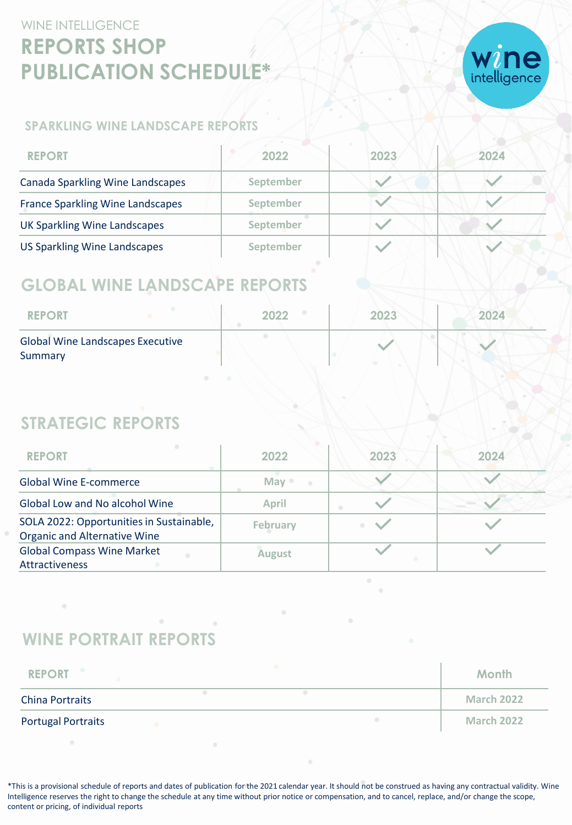# WINE INTELLIGENCE **REPORTS SHOP PUBLICATION SCHEDULE\***



#### **SPARKLING WINE LANDSCAPE REPORTS**

| <b>REPORT</b>                           | 2022      | 2023 | 2024 |
|-----------------------------------------|-----------|------|------|
| Canada Sparkling Wine Landscapes        | September |      |      |
| <b>France Sparkling Wine Landscapes</b> | September |      |      |
| <b>UK Sparkling Wine Landscapes</b>     | September |      |      |
| <b>US Sparkling Wine Landscapes</b>     | September |      |      |

## **GLOBAL WINE LANDSCAPE REPORTS**

| <b>REPORT</b>                                      | 2023 | 2024 |
|----------------------------------------------------|------|------|
| <b>Global Wine Landscapes Executive</b><br>Summary |      |      |

## **STRATEGIC REPORTS**

| <b>REPORT</b>                                                                   | 2022            | 2023 | 2024 |
|---------------------------------------------------------------------------------|-----------------|------|------|
| <b>Global Wine E-commerce</b>                                                   | $M$ av          |      |      |
| Global Low and No alcohol Wine                                                  | <b>April</b>    |      |      |
| SOLA 2022: Opportunities in Sustainable,<br><b>Organic and Alternative Wine</b> | <b>February</b> |      |      |
| <b>Global Compass Wine Market</b><br><b>Attractiveness</b>                      | <b>August</b>   |      |      |

# **WINE PORTRAIT REPORTS**

| <b>REPORT</b>             |  | Month             |
|---------------------------|--|-------------------|
| <b>China Portraits</b>    |  | <b>March 2022</b> |
| <b>Portugal Portraits</b> |  | <b>March 2022</b> |

\*This is a provisional schedule of reports and dates of publication for the 2021 calendar year. It should not be construed as having any contractual validity. Wine Intelligence reserves the right to change the schedule at any time without prior notice or compensation, and to cancel, replace, and/or change the scope, content or pricing, of individual reports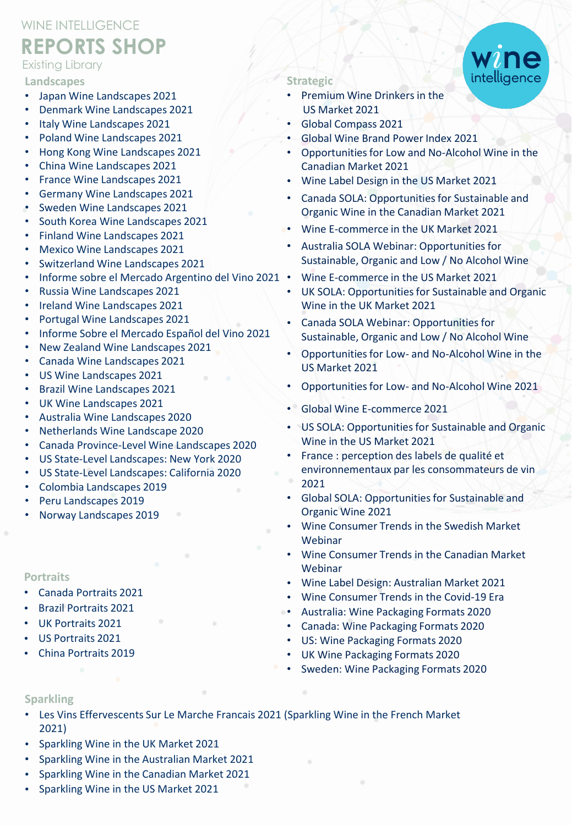## WINE INTELLIGENCE **REPORTS SHOP**

#### Existing Library

#### **Landscapes**

- Japan Wine Landscapes 2021
- Denmark Wine Landscapes 2021
- Italy Wine Landscapes 2021
- Poland Wine Landscapes 2021
- Hong Kong Wine Landscapes 2021
- China Wine Landscapes 2021
- France Wine Landscapes 2021
- Germany Wine Landscapes 2021
- Sweden Wine Landscapes 2021
- South Korea Wine Landscapes 2021
- Finland Wine Landscapes 2021
- Mexico Wine Landscapes 2021
- Switzerland Wine Landscapes 2021
- Informe sobre el Mercado Argentino del Vino 2021
- Russia Wine Landscapes 2021
- Ireland Wine Landscapes 2021
- Portugal Wine Landscapes 2021
- Informe Sobre el Mercado Español del Vino 2021
- New Zealand Wine Landscapes 2021
- Canada Wine Landscapes 2021
- US Wine Landscapes 2021
- Brazil Wine Landscapes 2021
- UK Wine Landscapes 2021
- Australia Wine Landscapes 2020
- Netherlands Wine Landscape 2020
- Canada Province-Level Wine Landscapes 2020
- US State-Level Landscapes: New York 2020
- US State-Level Landscapes: California 2020
- Colombia Landscapes 2019
- Peru Landscapes 2019
- Norway Landscapes 2019

#### **Portraits**

- Canada Portraits 2021
- Brazil Portraits 2021
- UK Portraits 2021
- US Portraits 2021
- China Portraits 2019

#### **Strategic**

- Premium Wine Drinkers in the US Market 2021
- Global Compass 2021
- Global Wine Brand Power Index 2021
- Opportunities for Low and No-Alcohol Wine in the Canadian Market 2021
- Wine Label Design in the US Market 2021
- Canada SOLA: Opportunities for Sustainable and Organic Wine in the Canadian Market 2021
- Wine E-commerce in the UK Market 2021
- Australia SOLA Webinar: Opportunities for Sustainable, Organic and Low / No Alcohol Wine
- Wine E-commerce in the US Market 2021
- UK SOLA: Opportunities for Sustainable and Organic Wine in the UK Market 2021
- Canada SOLA Webinar: Opportunities for Sustainable, Organic and Low / No Alcohol Wine
- Opportunities for Low- and No-Alcohol Wine in the US Market 2021
- Opportunities for Low- and No-Alcohol Wine 2021
- Global Wine E-commerce 2021
- US SOLA: Opportunities for Sustainable and Organic Wine in the US Market 2021
- France : perception des labels de qualité et environnementaux par les consommateurs de vin 2021
- Global SOLA: Opportunities for Sustainable and Organic Wine 2021
- Wine Consumer Trends in the Swedish Market Webinar
- Wine Consumer Trends in the Canadian Market Webinar
- Wine Label Design: Australian Market 2021
- Wine Consumer Trends in the Covid-19 Era
- Australia: Wine Packaging Formats 2020
- Canada: Wine Packaging Formats 2020
- US: Wine Packaging Formats 2020
- UK Wine Packaging Formats 2020
- Sweden: Wine Packaging Formats 2020

#### **Sparkling**

- Les Vins Effervescents Sur Le Marche Francais 2021 (Sparkling Wine in the French Market 2021)
- Sparkling Wine in the UK Market 2021
- Sparkling Wine in the Australian Market 2021
- Sparkling Wine in the Canadian Market 2021
- Sparkling Wine in the US Market 2021